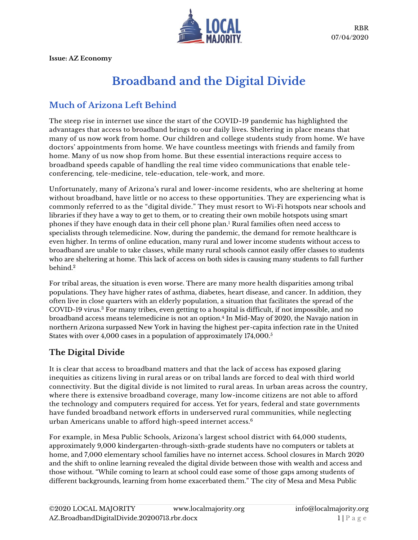

**Issue: AZ Economy**

# **Broadband and the Digital Divide**

## **Much of Arizona Left Behind**

The steep rise in internet use since the start of the COVID-19 pandemic has highlighted the advantages that access to broadband brings to our daily lives. Sheltering in place means that many of us now work from home. Our children and college students study from home. We have doctors' appointments from home. We have countless meetings with friends and family from home. Many of us now shop from home. But these essential interactions require access to broadband speeds capable of handling the real time video communications that enable teleconferencing, tele-medicine, tele-education, tele-work, and more.

Unfortunately, many of Arizona's rural and lower-income residents, who are sheltering at home without broadband, have little or no access to these opportunities. They are experiencing what is commonly referred to as the "digital divide." They must resort to Wi-Fi hotspots near schools and libraries if they have a way to get to them, or to creating their own mobile hotspots using smart phones if they have enough data in their cell phone plan. <sup>1</sup> Rural families often need access to specialists through telemedicine. Now, during the pandemic, the demand for remote healthcare is even higher. In terms of online education, many rural and lower income students without access to broadband are unable to take classes, while many rural schools cannot easily offer classes to students who are sheltering at home. This lack of access on both sides is causing many students to fall further behind.<sup>2</sup>

For tribal areas, the situation is even worse. There are many more health disparities among tribal populations. They have higher rates of asthma, diabetes, heart disease, and cancer. In addition, they often live in close quarters with an elderly population, a situation that facilitates the spread of the COVID-19 virus.<sup>3</sup> For many tribes, even getting to a hospital is difficult, if not impossible, and no broadband access means telemedicine is not an option.<sup>4</sup> In Mid-May of 2020, the Navajo nation in northern Arizona surpassed New York in having the highest per-capita infection rate in the United States with over 4,000 cases in a population of approximately 174,000.<sup>5</sup>

### **The Digital Divide**

It is clear that access to broadband matters and that the lack of access has exposed glaring inequities as citizens living in rural areas or on tribal lands are forced to deal with third world connectivity. But the digital divide is not limited to rural areas. In urban areas across the country, where there is extensive broadband coverage, many low-income citizens are not able to afford the technology and computers required for access. Yet for years, federal and state governments have funded broadband network efforts in underserved rural communities, while neglecting urban Americans unable to afford high-speed internet access.<sup>6</sup>

For example, in Mesa Public Schools, Arizona's largest school district with 64,000 students, approximately 9,000 kindergarten-through-sixth-grade students have no computers or tablets at home, and 7,000 elementary school families have no internet access. School closures in March 2020 and the shift to online learning revealed the digital divide between those with wealth and access and those without. "While coming to learn at school could ease some of those gaps among students of different backgrounds, learning from home exacerbated them." The city of Mesa and Mesa Public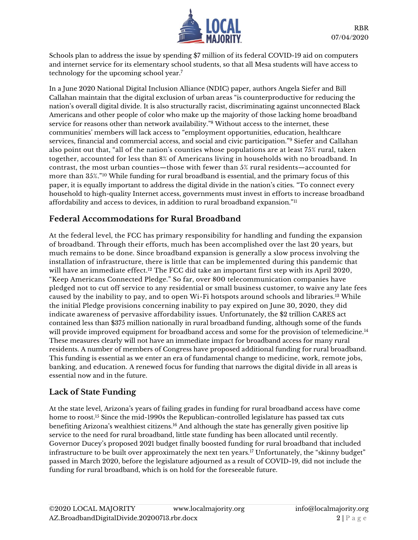

Schools plan to address the issue by spending \$7 million of its federal COVID-19 [aid](https://www.azcentral.com/story/news/local/mesa/2020/05/25/coronavirus-arizona-mesa-spending-plan-federal-cares-act-covid-19-pandemic/5240601002/) on computers and internet service for its elementary school students, so that all Mesa students will have access to technology for the upcoming school year.<sup>7</sup>

In a June 2020 National Digital Inclusion Alliance (NDIC) paper, authors Angela Siefer and Bill Callahan maintain that the digital exclusion of urban areas "is counterproductive for reducing the nation's overall digital divide. It is also structurally racist, discriminating against unconnected Black Americans and other people of color who make up the majority of those lacking home broadband service for reasons other than network availability."<sup>8</sup> Without access to the internet, these communities' members will lack access to "employment opportunities, education, healthcare services, financial and commercial access, and social and civic participation."<sup>9</sup> Siefer and Callahan also point out that, "all of the nation's counties whose populations are at least 75% rural, taken together, accounted for less than 8% of Americans living in households with no broadband. In contrast, the most urban counties—those with fewer than 5% rural residents—accounted for more than 35%."<sup>10</sup> While funding for rural broadband is essential, and the primary focus of this paper, it is equally important to address the digital divide in the nation's cities. "To connect every household to high-quality Internet access, governments must invest in efforts to increase broadband affordability and access to devices, in addition to rural broadband expansion."<sup>11</sup>

#### **Federal Accommodations for Rural Broadband**

At the federal level, the FCC has primary responsibility for handling and funding the expansion of broadband. Through their efforts, much has been accomplished over the last 20 years, but much remains to be done. Since broadband expansion is generally a slow process involving the installation of infrastructure, there is little that can be implemented during this pandemic that will have an immediate effect.<sup>12</sup> The FCC did take an important first step with its April 2020, "Keep Americans Connected Pledge." So far, over 800 telecommunication companies have pledged not to cut off service to any residential or small business customer, to waive any late fees caused by the inability to pay, and to open Wi-Fi hotspots around schools and libraries.<sup>13</sup> While the initial Pledge provisions concerning inability to pay expired on June 30, 2020, they did indicate awareness of pervasive affordability issues. Unfortunately, the \$2 trillion CARES act contained less than \$375 million nationally in rural broadband funding, although some of the funds will provide improved equipment for broadband access and some for the provision of telemedicine.<sup>14</sup> These measures clearly will not have an immediate impact for broadband access for many rural residents. A number of members of Congress have proposed additional funding for rural broadband. This funding is essential as we enter an era of fundamental change to medicine, work, remote jobs, banking, and education. A renewed focus for funding that narrows the digital divide in all areas is essential now and in the future.

#### **Lack of State Funding**

At the state level, Arizona's years of failing grades in funding for rural broadband access have come home to roost.<sup>15</sup> Since the mid-1990s the Republican-controlled legislature has passed tax cuts benefiting Arizona's wealthiest citizens.<sup>16</sup> And although the state has generally given positive lip service to the need for rural broadband, little state funding has been allocated until recently. Governor Ducey's proposed 2021 budget finally boosted funding for rural broadband that included infrastructure to be built over approximately the next ten years.<sup>17</sup> Unfortunately, the "skinny budget" passed in March 2020, before the legislature adjourned as a result of COVID-19, did not include the funding for rural broadband, which is on hold for the foreseeable future.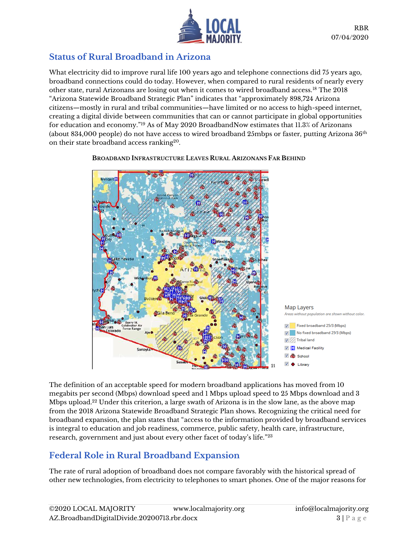

## **Status of Rural Broadband in Arizona**

What electricity did to improve rural life 100 years ago and telephone connections did 75 years ago, broadband connections could do today. However, when compared to rural residents of nearly every other state, rural Arizonans are losing out when it comes to wired broadband access.<sup>18</sup> The 2018 "Arizona Statewide Broadband Strategic Plan" indicates that "approximately 898,724 Arizona citizens—mostly in rural and tribal communities—have limited or no access to high-speed internet, creating a digital divide between communities that can or cannot participate in global opportunities for education and economy."<sup>19</sup> As of May 2020 BroadbandNow estimates that 11.3% of Arizonans (about 834,000 people) do not have access to wired broadband 25mbps or faster, putting Arizona  $36<sup>th</sup>$ on their state broadband access ranking<sup>20</sup>.



**BROADBAND INFRASTRUCTURE LEAVES RURAL ARIZONANS FAR BEHIND**

The definition of an acceptable speed for modern broadband applications has moved from 10 megabits per second (Mbps) download speed and 1 Mbps upload speed to 25 Mbps download and 3 Mbps upload.<sup>22</sup> Under this criterion, a large swath of Arizona is in the slow lane, as the above map from the 2018 Arizona Statewide Broadband Strategic Plan shows. Recognizing the critical need for broadband expansion, the plan states that "access to the information provided by broadband services is integral to education and job readiness, commerce, public safety, health care, infrastructure, research, government and just about every other facet of today's life."<sup>23</sup>

# **Federal Role in Rural Broadband Expansion**

The rate of rural adoption of broadband does not compare favorably with the historical spread of other new technologies, from electricity to telephones to smart phones. One of the major reasons for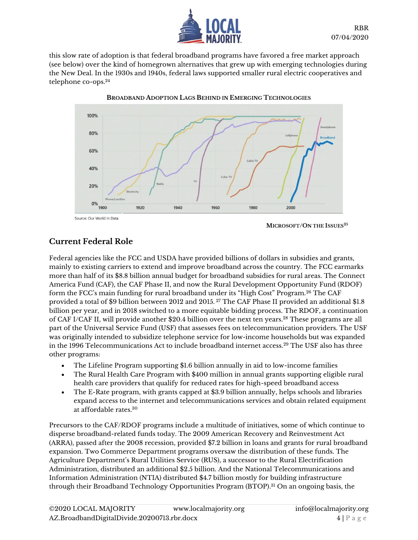

this slow rate of adoption is that federal broadband programs have favored a free market approach (see below) over the kind of homegrown alternatives that grew up with emerging technologies during the New Deal. In the 1930s and 1940s, federal laws supported smaller rural electric cooperatives and telephone co-ops.<sup>24</sup>



**BROADBAND ADOPTION LAGS BEHIND IN EMERGING TECHNOLOGIES**

 **MICROSOFT/ON THE ISSUES<sup>25</sup>**

#### **Current Federal Role**

Federal agencies like the FCC and USDA have provided billions of dollars in subsidies and grants, mainly to existing carriers to extend and improve broadband across the country. The FCC earmarks more than half of its \$8.8 billion annual budget for broadband subsidies for rural areas. The Connect America Fund (CAF), the CAF Phase II, and now the Rural Development Opportunity Fund (RDOF) form the FCC's main funding for rural broadband under its "High Cost" Program.<sup>26</sup> The CAF provided a total of \$9 billion between 2012 and 2015. <sup>27</sup> The CAF Phase II provided an additional \$1.8 billion per year, and in 2018 switched to a more equitable bidding process. The RDOF, a continuation of CAF I/CAF II, will provide another \$20.4 billion over the next ten years.<sup>28</sup> These programs are all part of the Universal Service Fund (USF) that assesses fees on telecommunication providers. The USF was originally intended to subsidize telephone service for low-income households but was expanded in the 1996 Telecommunications Act to include broadband internet access.<sup>29</sup> The USF also has three other programs:

- The Lifeline Program supporting \$1.6 billion annually in aid to low-income families
- The Rural Health Care Program with \$400 million in annual grants supporting eligible rural health care providers that qualify for reduced rates for high-speed broadband access
- The E-Rate program, with grants capped at \$3.9 billion annually, helps schools and libraries expand access to the internet and telecommunications services and obtain related equipment at affordable rates.<sup>30</sup>

Precursors to the CAF/RDOF programs include a multitude of initiatives, some of which continue to disperse broadband-related funds today. The 2009 American Recovery and Reinvestment Act (ARRA), passed after the 2008 recession, provided \$7.2 billion in loans and grants for rural broadband expansion. Two Commerce Department programs oversaw the distribution of these funds. The Agriculture Department's Rural Utilities Service (RUS), a successor to the Rural Electrification Administration, distributed an additional \$2.5 billion. And the National Telecommunications and Information Administration (NTIA) distributed \$4.7 billion mostly for building infrastructure through their Broadband Technology Opportunities Program (BTOP). <sup>31</sup> On an ongoing basis, the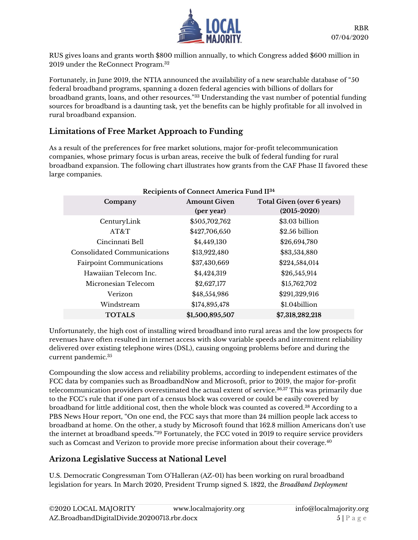

RUS gives loans and grants worth \$800 million annually, to which Congress added \$600 million in 2019 under the ReConnect Program.<sup>32</sup>

Fortunately, in June 2019, the NTIA announced the availability of a new searchable database of "50 federal broadband programs, spanning a dozen federal agencies with billions of dollars for broadband grants, loans, and other resources."<sup>33</sup> Understanding the vast number of potential funding sources for broadband is a daunting task, yet the benefits can be highly profitable for all involved in rural broadband expansion.

#### **Limitations of Free Market Approach to Funding**

As a result of the preferences for free market solutions, major for-profit telecommunication companies, whose primary focus is urban areas, receive the bulk of federal funding for rural broadband expansion. The following chart illustrates how grants from the CAF Phase II favored these large companies.

| Recipients of Connect America Fund II <sup>34</sup> |                     |                            |
|-----------------------------------------------------|---------------------|----------------------------|
| Company                                             | <b>Amount Given</b> | Total Given (over 6 years) |
|                                                     | (per year)          | $(2015 - 2020)$            |
| CenturyLink                                         | \$505,702,762       | \$3.03 billion             |
| AT&T                                                | \$427,706,650       | \$2.56 billion             |
| Cincinnati Bell                                     | \$4,449,130         | \$26,694,780               |
| Consolidated Communications                         | \$13,922,480        | \$83,534,880               |
| <b>Fairpoint Communications</b>                     | \$37,430,669        | \$224,584,014              |
| Hawaiian Telecom Inc.                               | \$4,424,319         | \$26,545,914               |
| Micronesian Telecom                                 | \$2,627,177         | \$15,762,702               |
| Verizon                                             | \$48,554,986        | \$291,329,916              |
| Windstream                                          | \$174,895,478       | \$1.04billion              |
| <b>TOTALS</b>                                       | \$1,500,895,507     | \$7,318,282,218            |

Unfortunately, the high cost of installing wired broadband into rural areas and the low prospects for revenues have often resulted in internet access with slow variable speeds and intermittent reliability delivered over existing telephone wires (DSL), causing ongoing problems before and during the current pandemic. 35

Compounding the slow access and reliability problems, according to independent estimates of the FCC data by companies such as BroadbandNow and Microsoft, prior to 2019, the major for-profit telecommunication providers overestimated the actual extent of service.36,37 This was primarily due to the FCC's rule that if one part of a census block was covered or could be easily covered by broadband for little additional cost, then the whole block was counted as covered.<sup>38</sup> According to a PBS News Hour report, "On one end, the FCC says that more than 24 million people lack access to broadband at home. On the other, a study by Microsoft found that 162.8 million Americans don't use the internet at broadband speeds."<sup>39</sup> Fortunately, the FCC voted in 2019 to require service providers such as Comcast and Verizon to provide more precise information about their coverage.<sup>40</sup>

### **Arizona Legislative Success at National Level**

U.S. Democratic Congressman Tom O'Halleran (AZ-01) has been working on rural broadband legislation for years. In March 2020, President Trump signed S. 1822, the *Broadband Deployment*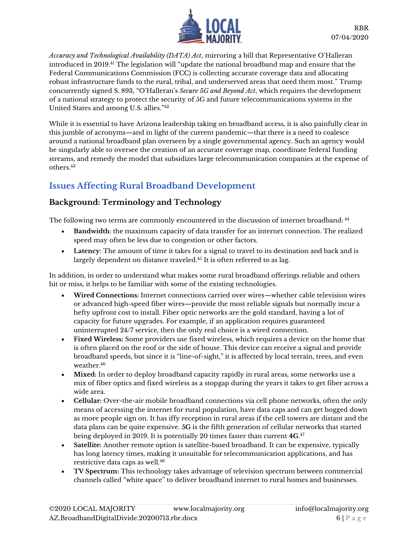

*Accuracy and Technological Availability (DATA) Act*, mirroring a bill that Representative O'Halleran introduced in 2019. <sup>41</sup> The legislation will "update the national broadband map and ensure that the Federal Communications Commission (FCC) is collecting accurate coverage data and allocating robust infrastructure funds to the rural, tribal, and underserved areas that need them most." Trump concurrently signed S. 893, "O'Halleran's *Secure 5G and Beyond Act*, which requires the development of a national strategy to protect the security of 5G and future telecommunications systems in the United States and among U.S. allies."<sup>42</sup>

While it is essential to have Arizona leadership taking on broadband access, it is also painfully clear in this jumble of acronyms—and in light of the current pandemic—that there is a need to coalesce around a national broadband plan overseen by a single governmental agency. Such an agency would be singularly able to oversee the creation of an accurate coverage map, coordinate federal funding streams, and remedy the model that subsidizes large telecommunication companies at the expense of others. 43

## **Issues Affecting Rural Broadband Development**

#### **Background: Terminology and Technology**

The following two terms are commonly encountered in the discussion of internet broadband: <sup>44</sup>

- **Bandwidth**: the maximum capacity of data transfer for an internet connection. The realized speed may often be less due to congestion or other factors.
- **Latency**: The amount of time it takes for a signal to travel to its destination and back and is largely dependent on distance traveled.<sup>45</sup> It is often referred to as lag.

In addition, in order to understand what makes some rural broadband offerings reliable and others hit or miss, it helps to be familiar with some of the existing technologies.

- **Wired Connections:** Internet connections carried over wires—whether cable television wires or advanced high-speed fiber wires—provide the most reliable signals but normally incur a hefty upfront cost to install. Fiber optic networks are the gold standard, having a lot of capacity for future upgrades. For example, if an application requires guaranteed uninterrupted 24/7 service, then the only real choice is a wired connection.
- **Fixed Wireless:** Some providers use fixed wireless, which requires a device on the home that is often placed on the roof or the side of house. This device can receive a signal and provide broadband speeds, but since it is "line-of-sight," it is affected by local terrain, trees, and even weather.<sup>46</sup>
- Mixed: In order to deploy broadband capacity rapidly in rural areas, some networks use a mix of fiber optics and fixed wireless as a stopgap during the years it takes to get fiber across a wide area.
- **Cellular:** Over-the-air mobile broadband connections via cell phone networks, often the only means of accessing the internet for rural population, have data caps and can get bogged down as more people sign on. It has iffy reception in rural areas if the cell towers are distant and the data plans can be quite expensive. **5G** is the fifth generation of cellular networks that started being deployed in 2019. It is potentially 20 times faster than current **4G**. 47
- **Satellite:** Another remote option is satellite-based broadband. It can be expensive, typically has long latency times, making it unsuitable for telecommunication applications, and has restrictive data caps as well.<sup>48</sup>
- **TV Spectrum:** This technology takes advantage of television spectrum between commercial channels called "white space" to deliver broadband internet to rural homes and businesses.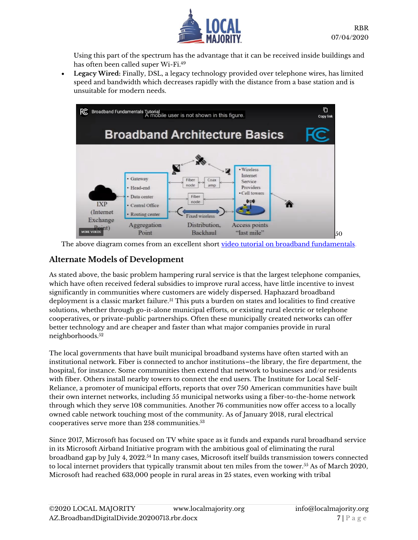

Using this part of the spectrum has the advantage that it can be received inside buildings and has often been called super Wi-Fi.<sup>49</sup>

• **Legacy Wired:** Finally, DSL, a legacy technology provided over telephone wires, has limited speed and bandwidth which decreases rapidly with the distance from a base station and is unsuitable for modern needs.



The above diagram comes from an excellent short [video tutorial on broadband fundamentals.](https://youtu.be/RHuur8qiL5Q)

#### **Alternate Models of Development**

As stated above, the basic problem hampering rural service is that the largest telephone companies, which have often received federal subsidies to improve rural access, have little incentive to invest significantly in communities where customers are widely dispersed. Haphazard broadband deployment is a classic market failure.<sup>51</sup> This puts a burden on states and localities to find creative solutions, whether through go-it-alone municipal efforts, or existing rural electric or telephone cooperatives, or private-public partnerships. Often these municipally created networks can offer better technology and are cheaper and faster than what major companies provide in rural neighborhoods.<sup>52</sup>

The local governments that have built municipal broadband systems have often started with an institutional network. Fiber is connected to anchor institutions–the library, the fire department, the hospital, for instance. Some communities then extend that network to businesses and/or residents with fiber. Others install nearby towers to connect the end users. The Institute for Local Self-Reliance, a promoter of municipal efforts, reports that over 750 American communities have built their own internet networks, including 55 municipal networks using a fiber-to-the-home network through which they serve 108 communities. Another 76 communities now offer access to a locally owned cable network touching most of the community. As of January 2018, rural electrical cooperatives serve more than 258 communities.<sup>53</sup>

Since 2017, Microsoft has focused on TV white space as it funds and expands rural broadband service in its Microsoft Airband Initiative program with the ambitious goal of eliminating the rural broadband gap by July 4, 2022.<sup>54</sup> In many cases, Microsoft itself builds transmission towers connected to local internet providers that typically transmit about ten miles from the tower.<sup>55</sup> As of March 2020, Microsoft had reached 633,000 people in rural areas in 25 states, even working with tribal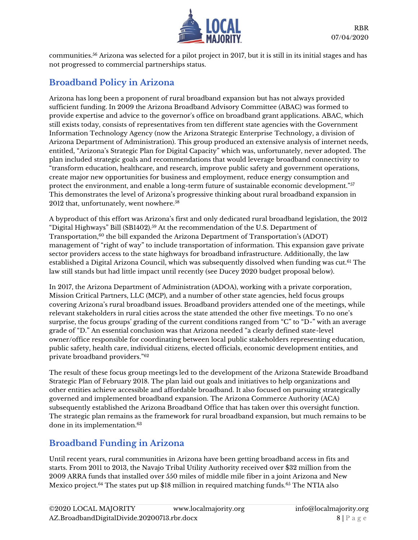

communities.<sup>56</sup> Arizona was selected for a pilot project in 2017, but it is still in its initial stages and has not progressed to commercial partnerships status.

## **Broadband Policy in Arizona**

Arizona has long been a proponent of rural broadband expansion but has not always provided sufficient funding. In 2009 the Arizona Broadband Advisory Committee (ABAC) was formed to provide expertise and advice to the governor's office on broadband grant applications. ABAC, which still exists today, consists of representatives from ten different state agencies with the Government Information Technology Agency (now the Arizona Strategic Enterprise Technology, a division of Arizona Department of Administration). This group produced an extensive analysis of internet needs, entitled, "Arizona's Strategic Plan for Digital Capacity" which was, unfortunately, never adopted. The plan included strategic goals and recommendations that would leverage broadband connectivity to "transform education, healthcare, and research, improve public safety and government operations, create major new opportunities for business and employment, reduce energy consumption and protect the environment, and enable a long-term future of sustainable economic development."<sup>57</sup> This demonstrates the level of Arizona's progressive thinking about rural broadband expansion in 2012 that, unfortunately, went nowhere.<sup>58</sup>

A byproduct of this effort was Arizona's first and only dedicated rural broadband legislation, the 2012 "Digital Highways" Bill (SB1402).<sup>59</sup> At the recommendation of the U.S. Department of Transportation,<sup>60</sup> the bill expanded the Arizona Department of Transportation's (ADOT) management of "right of way" to include transportation of information. This expansion gave private sector providers access to the state highways for broadband infrastructure. Additionally, the law established a Digital Arizona Council, which was subsequently dissolved when funding was cut.<sup>61</sup> The law still stands but had little impact until recently (see Ducey 2020 budget proposal below).

In 2017, the Arizona Department of Administration (ADOA), working with a private corporation, Mission Critical Partners, LLC (MCP), and a number of other state agencies, held focus groups covering Arizona's rural broadband issues. Broadband providers attended one of the meetings, while relevant stakeholders in rural cities across the state attended the other five meetings. To no one's surprise, the focus groups' grading of the current conditions ranged from "C" to "D-" with an average grade of "D." An essential conclusion was that Arizona needed "a clearly defined state-level owner/office responsible for coordinating between local public stakeholders representing education, public safety, health care, individual citizens, elected officials, economic development entities, and private broadband providers."<sup>62</sup>

The result of these focus group meetings led to the development of the Arizona Statewide Broadband Strategic Plan of February 2018. The plan laid out goals and initiatives to help organizations and other entities achieve accessible and affordable broadband. It also focused on pursuing strategically governed and implemented broadband expansion. The Arizona Commerce Authority (ACA) subsequently established the Arizona Broadband Office that has taken over this oversight function. The strategic plan remains as the framework for rural broadband expansion, but much remains to be done in its implementation.<sup>63</sup>

## **Broadband Funding in Arizona**

Until recent years, rural communities in Arizona have been getting broadband access in fits and starts. From 2011 to 2013, the Navajo Tribal Utility Authority received over \$32 million from the 2009 ARRA funds that installed over 550 miles of middle mile fiber in a joint Arizona and New Mexico project.<sup>64</sup> The states put up \$18 million in required matching funds.<sup>65</sup> The NTIA also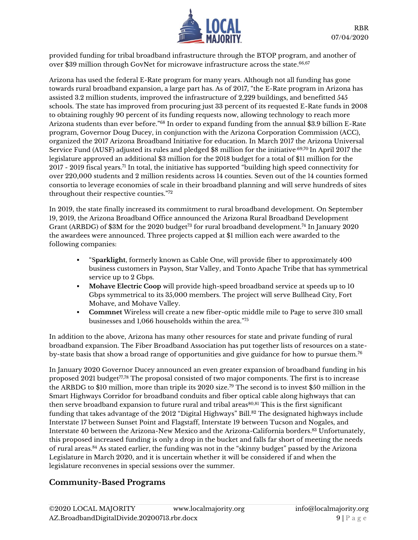

provided funding for tribal broadband infrastructure through the BTOP program, and another of over \$39 million through GovNet for microwave infrastructure across the state. $^{66,67}$ 

Arizona has used the federal E-Rate program for many years. Although not all funding has gone towards rural broadband expansion, a large part has. As of 2017, "the E-Rate program in Arizona has assisted 3.2 million students, improved the infrastructure of 2,229 buildings, and benefitted 545 schools. The state has improved from procuring just 33 percent of its requested E-Rate funds in 2008 to obtaining roughly 90 percent of its funding requests now, allowing technology to reach more Arizona students than ever before."<sup>68</sup> In order to expand funding from the annual \$3.9 billion E-Rate program, Governor Doug Ducey, in conjunction with the Arizona Corporation Commission (ACC), organized the 2017 Arizona Broadband Initiative for education. In March 2017 the Arizona Universal Service Fund (AUSF) adjusted its rules and pledged \$8 million for the initiative.69,70 In April 2017 the legislature approved an additional \$3 million for the 2018 budget for a total of \$11 million for the 2017 - 2019 fiscal years.<sup>71</sup> In total, the initiative has supported "building high speed connectivity for over 220,000 students and 2 million residents across 14 counties. Seven out of the 14 counties formed consortia to leverage economies of scale in their broadband planning and will serve hundreds of sites throughout their respective counties."<sup>72</sup>

In 2019, the state finally increased its commitment to rural broadband development. On September 19, 2019, the Arizona Broadband Office announced the Arizona Rural Broadband Development Grant (ARBDG) of \$3M for the 2020 budget<sup>73</sup> for rural broadband development.<sup>74</sup> In January 2020 the awardees were announced. Three projects capped at \$1 million each were awarded to the following companies:

- "S**parklight**, formerly known as Cable One, will provide fiber to approximately 400 business customers in Payson, Star Valley, and Tonto Apache Tribe that has symmetrical service up to 2 Gbps.
- **Mohave Electric Coop** will provide high-speed broadband service at speeds up to 10 Gbps symmetrical to its 35,000 members. The project will serve Bullhead City, Fort Mohave, and Mohave Valley.
- **Commnet** Wireless will create a new fiber-optic middle mile to Page to serve 310 small businesses and 1,066 households within the area."<sup>75</sup>

In addition to the above, Arizona has many other resources for state and private funding of rural broadband expansion. The Fiber Broadband Association has put together lists of resources on a stateby-state basis that show a broad range of opportunities and give guidance for how to pursue them.<sup>76</sup>

In January 2020 Governor Ducey announced an even greater expansion of broadband funding in his proposed 2021 budget<sup>77,78</sup> The proposal consisted of two major components. The first is to increase the ARBDG to \$10 million, more than triple its 2020 size.<sup>79</sup> The second is to invest \$50 million in the Smart Highways Corridor for broadband conduits and fiber optical cable along highways that can then serve broadband expansion to future rural and tribal areas<sup>80,81</sup> This is the first significant funding that takes advantage of the 2012 "Digital Highways" Bill.<sup>82</sup> The designated highways include Interstate 17 between Sunset Point and Flagstaff, Interstate 19 between Tucson and Nogales, and Interstate 40 between the Arizona-New Mexico and the Arizona-California borders.<sup>83</sup> Unfortunately, this proposed increased funding is only a drop in the bucket and falls far short of meeting the needs of rural areas.<sup>84</sup> As stated earlier, the funding was not in the "skinny budget" passed by the Arizona Legislature in March 2020, and it is uncertain whether it will be considered if and when the legislature reconvenes in special sessions over the summer.

#### **Community-Based Programs**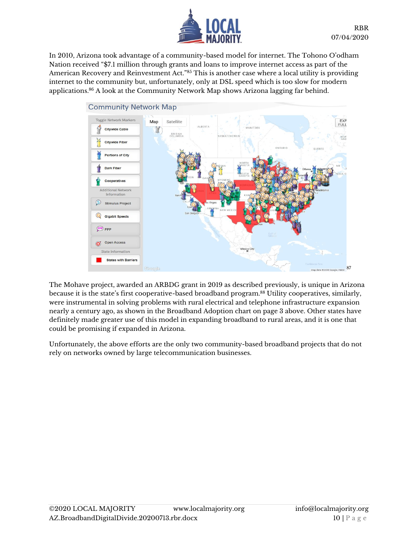

In 2010, Arizona took advantage of a community-based model for internet. The Tohono O'odham Nation received "\$7.1 million through grants and loans to improve internet access as part of the American Recovery and Reinvestment Act."<sup>85</sup> This is another case where a local utility is providing internet to the community but, unfortunately, only at DSL speed which is too slow for modern applications.<sup>86</sup> A look at the Community Network Map shows Arizona lagging far behind.



The Mohave project, awarded an ARBDG grant in 2019 as described previously, is unique in Arizona because it is the state's first cooperative-based broadband program.<sup>88</sup> Utility cooperatives, similarly, were instrumental in solving problems with rural electrical and telephone infrastructure expansion nearly a century ago, as shown in the Broadband Adoption chart on page 3 above. Other states have definitely made greater use of this model in expanding broadband to rural areas, and it is one that could be promising if expanded in Arizona.

Unfortunately, the above efforts are the only two community-based broadband projects that do not rely on networks owned by large telecommunication businesses.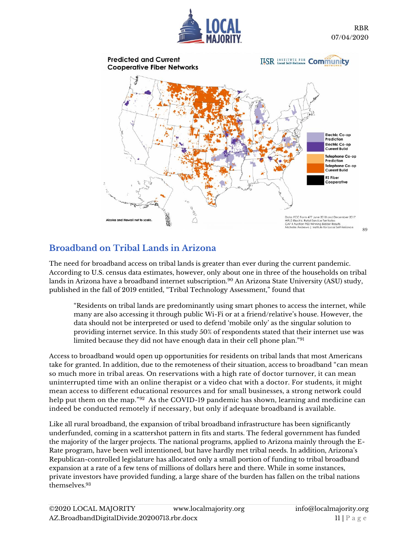



# **Broadband on Tribal Lands in Arizona**

The need for broadband access on tribal lands is greater than ever during the current pandemic. According to U.S. census data estimates, however, only about one in three of the households on tribal lands in Arizona have a broadband internet subscription.<sup>90</sup> An Arizona State University (ASU) study, published in the fall of 2019 entitled, "Tribal Technology Assessment," found that

"Residents on tribal lands are predominantly using smart phones to access the internet, while many are also accessing it through public Wi-Fi or at a friend/relative's house. However, the data should not be interpreted or used to defend 'mobile only' as the singular solution to providing internet service. In this study 50% of respondents stated that their internet use was limited because they did not have enough data in their cell phone plan."<sup>91</sup>

Access to broadband would open up opportunities for residents on tribal lands that most Americans take for granted. In addition, due to the remoteness of their situation, access to broadband "can mean so much more in tribal areas. On reservations with a high rate of doctor turnover, it can mean uninterrupted time with an online therapist or a video chat with a doctor. For students, it might mean access to different educational resources and for small businesses, a strong network could help put them on the map."<sup>92</sup> As the COVID-19 pandemic has shown, learning and medicine can indeed be conducted remotely if necessary, but only if adequate broadband is available.

Like all rural broadband, the expansion of tribal broadband infrastructure has been significantly underfunded, coming in a scattershot pattern in fits and starts. The federal government has funded the majority of the larger projects. The national programs, applied to Arizona mainly through the E-Rate program, have been well intentioned, but have hardly met tribal needs. In addition, Arizona's Republican-controlled legislature has allocated only a small portion of funding to tribal broadband expansion at a rate of a few tens of millions of dollars here and there. While in some instances, private investors have provided funding, a large share of the burden has fallen on the tribal nations themselves.93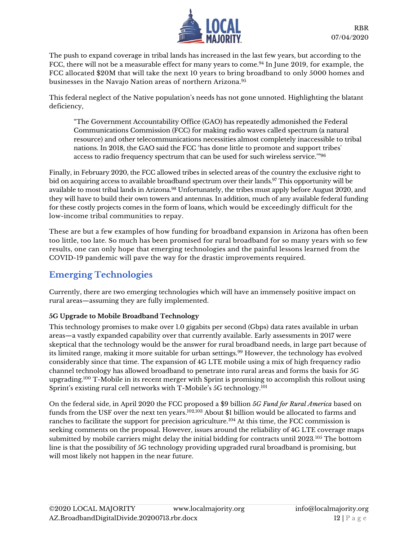

The push to expand coverage in tribal lands has increased in the last few years, but according to the FCC, there will not be a measurable effect for many years to come.<sup>94</sup> In June 2019, for example, the FCC allocated \$20M that will take the next 10 years to bring broadband to only 5000 homes and businesses in the Navajo Nation areas of northern Arizona.<sup>95</sup>

This federal neglect of the Native population's needs has not gone unnoted. Highlighting the blatant deficiency,

"The Government Accountability Office (GAO) has repeatedly admonished the Federal Communications Commission (FCC) for making radio waves called spectrum (a natural resource) and other telecommunications necessities almost completely inaccessible to tribal nations. In 2018, the GAO said the FCC 'has done little to promote and support tribes' access to radio frequency spectrum that can be used for such wireless service.'"<sup>96</sup>

Finally, in February 2020, the FCC allowed tribes in selected areas of the country the exclusive right to bid on acquiring access to available broadband spectrum over their lands.<sup>97</sup> This opportunity will be available to most tribal lands in Arizona.<sup>98</sup> Unfortunately, the tribes must apply before August 2020, and they will have to build their own towers and antennas. In addition, much of any available federal funding for these costly projects comes in the form of loans, which would be exceedingly difficult for the low-income tribal communities to repay.

These are but a few examples of how funding for broadband expansion in Arizona has often been too little, too late. So much has been promised for rural broadband for so many years with so few results, one can only hope that emerging technologies and the painful lessons learned from the COVID-19 pandemic will pave the way for the drastic improvements required.

## **Emerging Technologies**

Currently, there are two emerging technologies which will have an immensely positive impact on rural areas—assuming they are fully implemented.

#### **5G Upgrade to Mobile Broadband Technology**

This technology promises to make over 1.0 gigabits per second (Gbps) data rates available in urban areas—a vastly expanded capability over that currently available. Early assessments in 2017 were skeptical that the technology would be the answer for rural broadband needs, in large part because of its limited range, making it more suitable for urban settings.<sup>99</sup> However, the technology has evolved considerably since that time. The expansion of 4G LTE mobile using a mix of high frequency radio channel technology has allowed broadband to penetrate into rural areas and forms the basis for 5G upgrading.<sup>100</sup> T-Mobile in its recent merger with Sprint is promising to accomplish this rollout using Sprint's existing rural cell networks with T-Mobile's  $5G$  technology. $^{101}$ 

On the federal side, in April 2020 the FCC proposed a \$9 billion *5G Fund for Rural America* based on funds from the USF over the next ten years. 102,103 About \$1 billion would be allocated to farms and ranches to facilitate the support for precision agriculture.<sup>104</sup> At this time, the FCC commission is seeking comments on the proposal. However, issues around the reliability of 4G LTE coverage maps submitted by mobile carriers might delay the initial bidding for contracts until 2023.<sup>105</sup> The bottom line is that the possibility of 5G technology providing upgraded rural broadband is promising, but will most likely not happen in the near future.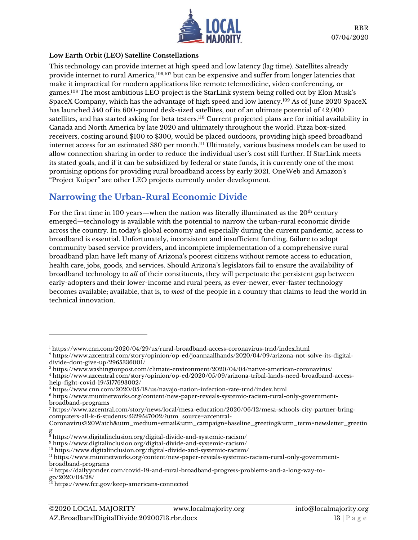

#### **Low Earth Orbit (LEO) Satellite Constellations**

This technology can provide internet at high speed and low latency (lag time). Satellites already provide internet to rural America,<sup>106,107</sup> but can be expensive and suffer from longer latencies that make it impractical for modern applications like remote telemedicine, video conferencing, or games.<sup>108</sup> The most ambitious LEO project is the StarLink system being rolled out by Elon Musk's SpaceX Company, which has the advantage of high speed and low latency.<sup>109</sup> As of June 2020 SpaceX has launched 540 of its 600-pound desk-sized satellites, out of an ultimate potential of 42,000 satellites, and has started asking for beta testers.<sup>110</sup> Current projected plans are for initial availability in Canada and North America by late 2020 and ultimately throughout the world. Pizza box-sized receivers, costing around \$100 to \$300, would be placed outdoors, providing high speed broadband internet access for an estimated \$80 per month.<sup>111</sup> Ultimately, various business models can be used to allow connection sharing in order to reduce the individual user's cost still further. If StarLink meets its stated goals, and if it can be subsidized by federal or state funds, it is currently one of the most promising options for providing rural broadband access by early 2021. OneWeb and Amazon's "Project Kuiper" are other LEO projects currently under development.

## **Narrowing the Urban-Rural Economic Divide**

For the first time in 100 years—when the nation was literally illuminated as the  $20<sup>th</sup>$  century emerged—technology is available with the potential to narrow the urban-rural economic divide across the country. In today's global economy and especially during the current pandemic, access to broadband is essential. Unfortunately, inconsistent and insufficient funding, failure to adopt community based service providers, and incomplete implementation of a comprehensive rural broadband plan have left many of Arizona's poorest citizens without remote access to education, health care, jobs, goods, and services. Should Arizona's legislators fail to ensure the availability of broadband technology to *all* of their constituents, they will perpetuate the persistent gap between early-adopters and their lower-income and rural peers, as ever-newer, ever-faster technology becomes available; available, that is, to *most* of the people in a country that claims to lead the world in technical innovation.

<sup>1</sup> <https://www.cnn.com/2020/04/29/us/rural-broadband-access-coronavirus-trnd/index.html>

<sup>2</sup> [https://www.azcentral.com/story/opinion/op-ed/joannaallhands/2020/04/09/arizona-not-solve-its-digital](https://www.azcentral.com/story/opinion/op-ed/joannaallhands/2020/04/09/arizona-not-solve-its-digital-divide-dont-give-up/2965336001/)[divide-dont-give-up/2965336001/](https://www.azcentral.com/story/opinion/op-ed/joannaallhands/2020/04/09/arizona-not-solve-its-digital-divide-dont-give-up/2965336001/)

<sup>3</sup> <https://www.washingtonpost.com/climate-environment/2020/04/04/native-american-coronavirus/>

<sup>4</sup> [https://www.azcentral.com/story/opinion/op-ed/2020/05/09/arizona-tribal-lands-need-broadband-access](https://www.azcentral.com/story/opinion/op-ed/2020/05/09/arizona-tribal-lands-need-broadband-access-help-fight-covid-19/5177693002/)[help-fight-covid-19/5177693002/](https://www.azcentral.com/story/opinion/op-ed/2020/05/09/arizona-tribal-lands-need-broadband-access-help-fight-covid-19/5177693002/)

<sup>5</sup> <https://www.cnn.com/2020/05/18/us/navajo-nation-infection-rate-trnd/index.html>

<sup>6</sup> [https://www.muninetworks.org/content/new-paper-reveals-systemic-racism-rural-only-government](https://www.muninetworks.org/content/new-paper-reveals-systemic-racism-rural-only-government-broadband-programs)[broadband-programs](https://www.muninetworks.org/content/new-paper-reveals-systemic-racism-rural-only-government-broadband-programs)

<sup>7</sup> https://www.azcentral.com/story/news/local/mesa-education/2020/06/12/mesa-schools-city-partner-bringcomputers-all-k-6-students/5329547002/?utm\_source=azcentral-

Coronavirus%20Watch&utm\_medium=email&utm\_campaign=baseline\_greeting&utm\_term=newsletter\_greetin g

 $^8$  <https://www.digitalinclusion.org/digital-divide-and-systemic-racism/>  $\,$ 

<sup>9</sup> <https://www.digitalinclusion.org/digital-divide-and-systemic-racism/>

<sup>10</sup> <https://www.digitalinclusion.org/digital-divide-and-systemic-racism/>

<sup>11</sup> [https://www.muninetworks.org/content/new-paper-reveals-systemic-racism-rural-only-government](https://www.muninetworks.org/content/new-paper-reveals-systemic-racism-rural-only-government-broadband-programs)[broadband-programs](https://www.muninetworks.org/content/new-paper-reveals-systemic-racism-rural-only-government-broadband-programs)

<sup>12</sup> [https://dailyyonder.com/covid-19-and-rural-broadband-progress-problems-and-a-long-way-to](https://dailyyonder.com/covid-19-and-rural-broadband-progress-problems-and-a-long-way-to-go/2020/04/28/)[go/2020/04/28/](https://dailyyonder.com/covid-19-and-rural-broadband-progress-problems-and-a-long-way-to-go/2020/04/28/)

<sup>13</sup> <https://www.fcc.gov/keep-americans-connected>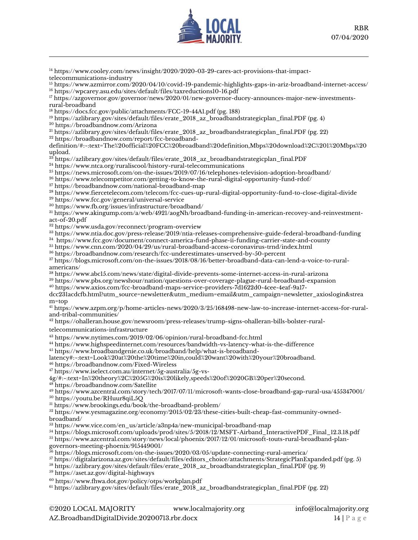

 [https://www.cooley.com/news/insight/2020/2020-03-29-cares-act-provisions-that-impact](https://www.cooley.com/news/insight/2020/2020-03-29-cares-act-provisions-that-impact-telecommunications-industry)[telecommunications-industry](https://www.cooley.com/news/insight/2020/2020-03-29-cares-act-provisions-that-impact-telecommunications-industry)

 <https://www.azmirror.com/2020/04/10/covid-19-pandemic-highlights-gaps-in-ariz-broadband-internet-access/> <https://wpcarey.asu.edu/sites/default/files/taxreductions10-16.pdf>

<sup>17</sup> [https://azgovernor.gov/governor/news/2020/01/new-governor-ducey-announces-major-new-investments](https://azgovernor.gov/governor/news/2020/01/new-governor-ducey-announces-major-new-investments-rural-broadband)[rural-broadband](https://azgovernor.gov/governor/news/2020/01/new-governor-ducey-announces-major-new-investments-rural-broadband)

<https://docs.fcc.gov/public/attachments/FCC-19-44A1.pdf> (pg. 188)

[https://azlibrary.gov/sites/default/files/erate\\_2018\\_az\\_broadbandstrategicplan\\_final.PDF](https://azlibrary.gov/sites/default/files/erate_2018_az_broadbandstrategicplan_final.PDF) (pg. 4)

<https://broadbandnow.com/Arizona>

[https://azlibrary.gov/sites/default/files/erate\\_2018\\_az\\_broadbandstrategicplan\\_final.PDF](https://azlibrary.gov/sites/default/files/erate_2018_az_broadbandstrategicplan_final.PDF) (pg. 22)

[https://broadbandnow.com/report/fcc-broadband-](https://broadbandnow.com/report/fcc-broadband-definition/#:~:text=The%20official%20FCC%20broadband%20definition,Mbps%20download%2C%201%20Mbps%20upload.)

[definition/#:~:text=The%20official%20FCC%20broadband%20definition,Mbps%20download%2C%201%20Mbps%20](https://broadbandnow.com/report/fcc-broadband-definition/#:~:text=The%20official%20FCC%20broadband%20definition,Mbps%20download%2C%201%20Mbps%20upload.) [upload.](https://broadbandnow.com/report/fcc-broadband-definition/#:~:text=The%20official%20FCC%20broadband%20definition,Mbps%20download%2C%201%20Mbps%20upload.)

<sup>23</sup> [https://azlibrary.gov/sites/default/files/erate\\_2018\\_az\\_broadbandstrategicplan\\_final.PDF](https://azlibrary.gov/sites/default/files/erate_2018_az_broadbandstrategicplan_final.PDF)

<https://www.ntca.org/ruraliscool/history-rural-telecommunications>

<sup>25</sup> <https://news.microsoft.com/on-the-issues/2019/07/16/telephones-television-adoption-broadband/>

<https://www.telecompetitor.com/getting-to-know-the-rural-digital-opportunity-fund-rdof/>

<https://broadbandnow.com/national-broadband-map>

<https://www.fiercetelecom.com/telecom/fcc-cues-up-rural-digital-opportunity-fund-to-close-digital-divide>

<https://www.fcc.gov/general/universal-service>

<https://www.fb.org/issues/infrastructure/broadband/>

 [https://www.akingump.com/a/web/4921/aogNh/broadband-funding-in-american-recovey-and-reinvestment](https://www.akingump.com/a/web/4921/aogNh/broadband-funding-in-american-recovey-and-reinvestment-act-of-20.pdf)[act-of-20.pdf](https://www.akingump.com/a/web/4921/aogNh/broadband-funding-in-american-recovey-and-reinvestment-act-of-20.pdf)

<https://www.usda.gov/reconnect/program-overview>

<https://www.ntia.doc.gov/press-release/2019/ntia-releases-comprehensive-guide-federal-broadband-funding>

<https://www.fcc.gov/document/connect-america-fund-phase-ii-funding-carrier-state-and-county>

<https://www.cnn.com/2020/04/29/us/rural-broadband-access-coronavirus-trnd/index.html>

<https://broadbandnow.com/research/fcc-underestimates-unserved-by-50-percent>

 [https://blogs.microsoft.com/on-the-issues/2018/08/16/better-broadband-data-can-lend-a-voice-to-rural](https://blogs.microsoft.com/on-the-issues/2018/08/16/better-broadband-data-can-lend-a-voice-to-rural-americans/)[americans/](https://blogs.microsoft.com/on-the-issues/2018/08/16/better-broadband-data-can-lend-a-voice-to-rural-americans/)

<https://www.abc15.com/news/state/digital-divide-prevents-some-internet-access-in-rural-arizona>

<https://www.pbs.org/newshour/nation/questions-over-coverage-plague-rural-broadband-expansion>

[https://www.axios.com/fcc-broadband-maps-service-providers-7d1622d0-4cee-4eaf-9a17-](https://www.axios.com/fcc-broadband-maps-service-providers-7d1622d0-4cee-4eaf-9a17-dcc231acdcfb.html?utm_source=newsletter&utm_medium=email&utm_campaign=newsletter_axioslogin&stream=top)

[dcc231acdcfb.html?utm\\_source=newsletter&utm\\_medium=email&utm\\_campaign=newsletter\\_axioslogin&strea](https://www.axios.com/fcc-broadband-maps-service-providers-7d1622d0-4cee-4eaf-9a17-dcc231acdcfb.html?utm_source=newsletter&utm_medium=email&utm_campaign=newsletter_axioslogin&stream=top) [m=top](https://www.axios.com/fcc-broadband-maps-service-providers-7d1622d0-4cee-4eaf-9a17-dcc231acdcfb.html?utm_source=newsletter&utm_medium=email&utm_campaign=newsletter_axioslogin&stream=top)

 [https://www.azpm.org/p/home-articles-news/2020/3/25/168498-new-law-to-increase-internet-access-for-rural](https://www.azpm.org/p/home-articles-news/2020/3/25/168498-new-law-to-increase-internet-access-for-rural-and-tribal-communities/)[and-tribal-communities/](https://www.azpm.org/p/home-articles-news/2020/3/25/168498-new-law-to-increase-internet-access-for-rural-and-tribal-communities/)

[https://ohalleran.house.gov/newsroom/press-releases/trump-signs-ohalleran-bills-bolster-rural-](https://ohalleran.house.gov/newsroom/press-releases/trump-signs-ohalleran-bills-bolster-rural-telecommunications-infrastructure)

[telecommunications-infrastructure](https://ohalleran.house.gov/newsroom/press-releases/trump-signs-ohalleran-bills-bolster-rural-telecommunications-infrastructure)

<https://www.nytimes.com/2019/02/06/opinion/rural-broadband-fcc.html>

<https://www.highspeedinternet.com/resources/bandwidth-vs-latency-what-is-the-difference>

[https://www.broadbandgenie.co.uk/broadband/help/what-is-broadband-](https://www.broadbandgenie.co.uk/broadband/help/what-is-broadband-latency#:~:text=Look%20at%20the%20time%20in,could%20want%20with%20your%20broadband.)

[latency#:~:text=Look%20at%20the%20time%20in,could%20want%20with%20your%20broadband.](https://www.broadbandgenie.co.uk/broadband/help/what-is-broadband-latency#:~:text=Look%20at%20the%20time%20in,could%20want%20with%20your%20broadband.)

<https://broadbandnow.com/Fixed-Wireless>

[https://www.iselect.com.au/internet/5g-australia/5g-vs-](https://www.iselect.com.au/internet/5g-australia/5g-vs-4g/#:~:text=In%20theory%2C%205G%20is%20likely,speeds%20of%2020GB%20per%20second.)

[4g/#:~:text=In%20theory%2C%205G%20is%20likely,speeds%20of%2020GB%20per%20second.](https://www.iselect.com.au/internet/5g-australia/5g-vs-4g/#:~:text=In%20theory%2C%205G%20is%20likely,speeds%20of%2020GB%20per%20second.)

<https://broadbandnow.com/Satellite>

<https://www.azcentral.com/story/tech/2017/07/11/microsoft-wants-close-broadband-gap-rural-usa/455347001/>

<https://youtu.be/RHuur8qiL5Q>

<https://www.brookings.edu/book/the-broadband-problem/>

 [https://www.yesmagazine.org/economy/2015/02/23/these-cities-built-cheap-fast-community-owned](https://www.yesmagazine.org/economy/2015/02/23/these-cities-built-cheap-fast-community-owned-broadband/)[broadband/](https://www.yesmagazine.org/economy/2015/02/23/these-cities-built-cheap-fast-community-owned-broadband/)

[https://www.vice.com/en\\_us/article/a3np4a/new-municipal-broadband-map](https://www.vice.com/en_us/article/a3np4a/new-municipal-broadband-map)

 [https://blogs.microsoft.com/uploads/prod/sites/5/2018/12/MSFT-Airband\\_InteractivePDF\\_Final\\_12.3.18.pdf](https://blogs.microsoft.com/uploads/prod/sites/5/2018/12/MSFT-Airband_InteractivePDF_Final_12.3.18.pdf) [https://www.azcentral.com/story/news/local/phoenix/2017/12/01/microsoft-touts-rural-broadband-plan](https://www.azcentral.com/story/news/local/phoenix/2017/12/01/microsoft-touts-rural-broadband-plan-governors-meeting-phoenix/915449001/)[governors-meeting-phoenix/915449001/](https://www.azcentral.com/story/news/local/phoenix/2017/12/01/microsoft-touts-rural-broadband-plan-governors-meeting-phoenix/915449001/)

<https://blogs.microsoft.com/on-the-issues/2020/03/05/update-connecting-rural-america/>

[https://digitalarizona.az.gov/sites/default/files/editors\\_choice/attachments/StrategicPlanExpanded.pdf](https://digitalarizona.az.gov/sites/default/files/editors_choice/attachments/StrategicPlanExpanded.pdf) (pg. 5)

[https://azlibrary.gov/sites/default/files/erate\\_2018\\_az\\_broadbandstrategicplan\\_final.PDF](https://azlibrary.gov/sites/default/files/erate_2018_az_broadbandstrategicplan_final.PDF) (pg. 9)

<https://aset.az.gov/digital-highways>

<https://www.fhwa.dot.gov/policy/otps/workplan.pdf>

[https://azlibrary.gov/sites/default/files/erate\\_2018\\_az\\_broadbandstrategicplan\\_final.PDF](https://azlibrary.gov/sites/default/files/erate_2018_az_broadbandstrategicplan_final.PDF) (pg. 22)